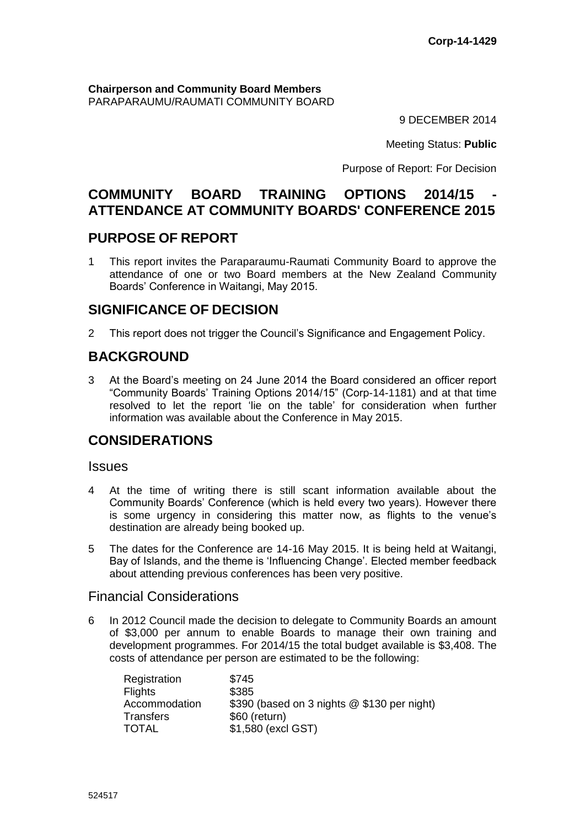**Chairperson and Community Board Members** PARAPARAUMU/RAUMATI COMMUNITY BOARD

9 DECEMBER 2014

Meeting Status: **Public**

Purpose of Report: For Decision

# **COMMUNITY BOARD TRAINING OPTIONS 2014/15 - ATTENDANCE AT COMMUNITY BOARDS' CONFERENCE 2015**

# **PURPOSE OF REPORT**

1 This report invites the Paraparaumu-Raumati Community Board to approve the attendance of one or two Board members at the New Zealand Community Boards' Conference in Waitangi, May 2015.

# **SIGNIFICANCE OF DECISION**

2 This report does not trigger the Council's Significance and Engagement Policy.

# **BACKGROUND**

3 At the Board's meeting on 24 June 2014 the Board considered an officer report "Community Boards' Training Options 2014/15" (Corp-14-1181) and at that time resolved to let the report 'lie on the table' for consideration when further information was available about the Conference in May 2015.

# **CONSIDERATIONS**

### **Issues**

- 4 At the time of writing there is still scant information available about the Community Boards' Conference (which is held every two years). However there is some urgency in considering this matter now, as flights to the venue's destination are already being booked up.
- 5 The dates for the Conference are 14-16 May 2015. It is being held at Waitangi, Bay of Islands, and the theme is 'Influencing Change'. Elected member feedback about attending previous conferences has been very positive.

# Financial Considerations

6 In 2012 Council made the decision to delegate to Community Boards an amount of \$3,000 per annum to enable Boards to manage their own training and development programmes. For 2014/15 the total budget available is \$3,408. The costs of attendance per person are estimated to be the following:

| Registration     | \$745                                       |
|------------------|---------------------------------------------|
| <b>Flights</b>   | \$385                                       |
| Accommodation    | \$390 (based on 3 nights @ \$130 per night) |
| <b>Transfers</b> | \$60 (return)                               |
| <b>TOTAL</b>     | \$1,580 (excl GST)                          |